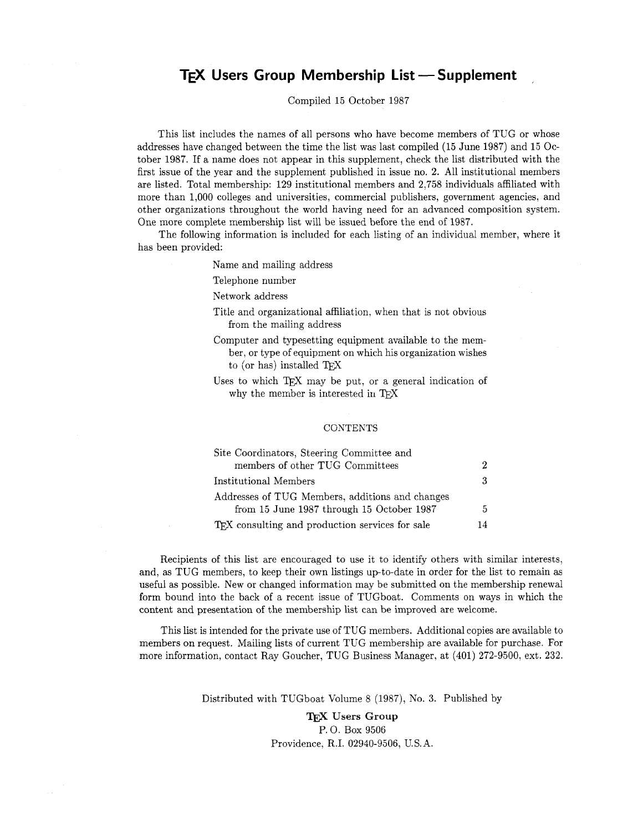# **TEX** Users Group Membership List — Supplement

Compiled 15 October 1987

This list includes the names of all persons who have become members of TUG or whose addresses have changed between the time the list was last compiled (15 June 1987) and 15 October 1987. If a name does not appear in this supplement, check the list distributed with the first issue of the year and the supplement published in issue no. 2. All institutional members are listed. Total membership: 129 institutional members and 2,758 individuals affiliated with more than 1,000 colleges and universities, commercial publishers, government agencies, and other organizations throughout the world having need for an advanced composition system. One more complete membership list will be issued before the end of 1987.

The following information is included for each listing of an individual member, where it has been provided:

Name and mailing address

Telephone number

Network address

- Title and organizational affiliation, when that is not obvious from the mailing address
- Computer and typesetting equipment available to the member, or type of equipment on which his organization wishes to (or has) installed TEX

Uses to which TEX may be put, or a general indication of why the member is interested in TEX

## **CONTENTS**

| Site Coordinators, Steering Committee and       |    |
|-------------------------------------------------|----|
| members of other TUG Committees                 | 2  |
| Institutional Members                           | 3  |
| Addresses of TUG Members, additions and changes |    |
| from 15 June 1987 through 15 October 1987       | 5  |
| TEX consulting and production services for sale | 14 |

Recipients of this list are encouraged to use it to identify others with similar interests, and, as TUG members, to keep their own listings up-to-date in order for the list to remain as useful as possible. New or changed information may be submitted on the membership renewal form bound into the back of a recent issue of TUGboat. Comments on ways in which the content and presentation of the membership list can be improved are welcome.

This list is intended for the private use of TUG members. Additional copies are available to members on request. Mailing lists of current TUG membership are available for purchase. For more information, contact Ray Goucher, TUG Business Manager. at (401) 272-9500, ext. 232.

Distributed with TUGboat Volume 8 (1987), No. 3. Published by

**Users Group**  P. 0. Box 9506 Providence, R.I. 02940-9506, U.S.A.